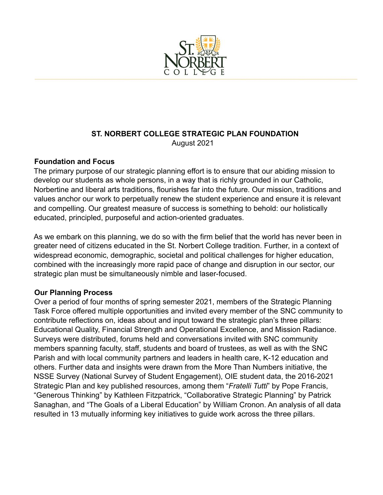

# **ST. NORBERT COLLEGE STRATEGIC PLAN FOUNDATION** August 2021

## **Foundation and Focus**

The primary purpose of our strategic planning effort is to ensure that our abiding mission to develop our students as whole persons, in a way that is richly grounded in our Catholic, Norbertine and liberal arts traditions, flourishes far into the future. Our mission, traditions and values anchor our work to perpetually renew the student experience and ensure it is relevant and compelling. Our greatest measure of success is something to behold: our holistically educated, principled, purposeful and action-oriented graduates.

As we embark on this planning, we do so with the firm belief that the world has never been in greater need of citizens educated in the St. Norbert College tradition. Further, in a context of widespread economic, demographic, societal and political challenges for higher education, combined with the increasingly more rapid pace of change and disruption in our sector, our strategic plan must be simultaneously nimble and laser-focused.

## **Our Planning Process**

Over a period of four months of spring semester 2021, members of the Strategic Planning Task Force offered multiple opportunities and invited every member of the SNC community to contribute reflections on, ideas about and input toward the strategic plan's three pillars: Educational Quality, Financial Strength and Operational Excellence, and Mission Radiance. Surveys were distributed, forums held and conversations invited with SNC community members spanning faculty, staff, students and board of trustees, as well as with the SNC Parish and with local community partners and leaders in health care, K-12 education and others. Further data and insights were drawn from the More Than Numbers initiative, the NSSE Survey (National Survey of Student Engagement), OIE student data, the 2016-2021 Strategic Plan and key published resources, among them "*Fratelli Tutti*" by Pope Francis, "Generous Thinking" by Kathleen Fitzpatrick, "Collaborative Strategic Planning" by Patrick Sanaghan, and "The Goals of a Liberal Education" by William Cronon. An analysis of all data resulted in 13 mutually informing key initiatives to guide work across the three pillars.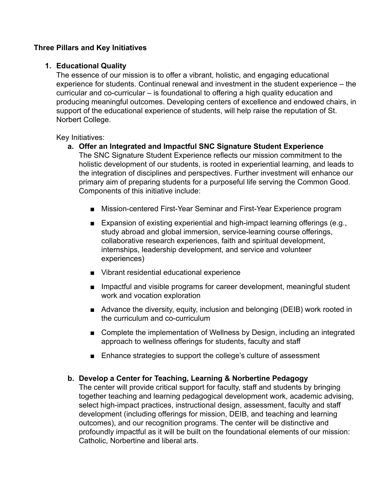## **Three Pillars and Key Initiatives**

### **1. Educational Quality**

The essence of our mission is to offer a vibrant, holistic, and engaging educational experience for students. Continual renewal and investment in the student experience – the curricular and co-curricular – is foundational to offering a high quality education and producing meaningful outcomes. Developing centers of excellence and endowed chairs, in support of the educational experience of students, will help raise the reputation of St. Norbert College.

Key Initiatives:

- **a. Offer an Integrated and Impactful SNC Signature Student Experience** The SNC Signature Student Experience reflects our mission commitment to the holistic development of our students, is rooted in experiential learning, and leads to the integration of disciplines and perspectives. Further investment will enhance our primary aim of preparing students for a purposeful life serving the Common Good. Components of this initiative include:
	- Mission-centered First-Year Seminar and First-Year Experience program
	- Expansion of existing experiential and high-impact learning offerings (e.g., study abroad and global immersion, service-learning course offerings, collaborative research experiences, faith and spiritual development, internships, leadership development, and service and volunteer experiences)
	- Vibrant residential educational experience
	- Impactful and visible programs for career development, meaningful student work and vocation exploration
	- Advance the diversity, equity, inclusion and belonging (DEIB) work rooted in the curriculum and co-curriculum
	- Complete the implementation of Wellness by Design, including an integrated approach to wellness offerings for students, faculty and staff
	- Enhance strategies to support the college's culture of assessment

### **b. Develop a Center for Teaching, Learning & Norbertine Pedagogy**

The center will provide critical support for faculty, staff and students by bringing together teaching and learning pedagogical development work, academic advising, select high-impact practices, instructional design, assessment, faculty and staff development (including offerings for mission, DEIB, and teaching and learning outcomes), and our recognition programs. The center will be distinctive and profoundly impactful as it will be built on the foundational elements of our mission: Catholic, Norbertine and liberal arts.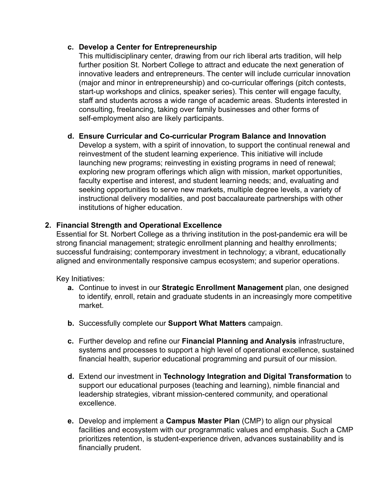### **c. Develop a Center for Entrepreneurship**

This multidisciplinary center, drawing from our rich liberal arts tradition, will help further position St. Norbert College to attract and educate the next generation of innovative leaders and entrepreneurs. The center will include curricular innovation (major and minor in entrepreneurship) and co-curricular offerings (pitch contests, start-up workshops and clinics, speaker series). This center will engage faculty, staff and students across a wide range of academic areas. Students interested in consulting, freelancing, taking over family businesses and other forms of self-employment also are likely participants.

### **d. Ensure Curricular and Co-curricular Program Balance and Innovation**

Develop a system, with a spirit of innovation, to support the continual renewal and reinvestment of the student learning experience. This initiative will include launching new programs; reinvesting in existing programs in need of renewal; exploring new program offerings which align with mission, market opportunities, faculty expertise and interest, and student learning needs; and, evaluating and seeking opportunities to serve new markets, multiple degree levels, a variety of instructional delivery modalities, and post baccalaureate partnerships with other institutions of higher education.

### **2. Financial Strength and Operational Excellence**

Essential for St. Norbert College as a thriving institution in the post-pandemic era will be strong financial management; strategic enrollment planning and healthy enrollments; successful fundraising; contemporary investment in technology; a vibrant, educationally aligned and environmentally responsive campus ecosystem; and superior operations.

Key Initiatives:

- **a.** Continue to invest in our **Strategic Enrollment Management** plan, one designed to identify, enroll, retain and graduate students in an increasingly more competitive market.
- **b.** Successfully complete our **Support What Matters** campaign.
- **c.** Further develop and refine our **Financial Planning and Analysis** infrastructure, systems and processes to support a high level of operational excellence, sustained financial health, superior educational programming and pursuit of our mission.
- **d.** Extend our investment in **Technology Integration and Digital Transformation** to support our educational purposes (teaching and learning), nimble financial and leadership strategies, vibrant mission-centered community, and operational excellence.
- **e.** Develop and implement a **Campus Master Plan** (CMP) to align our physical facilities and ecosystem with our programmatic values and emphasis. Such a CMP prioritizes retention, is student-experience driven, advances sustainability and is financially prudent.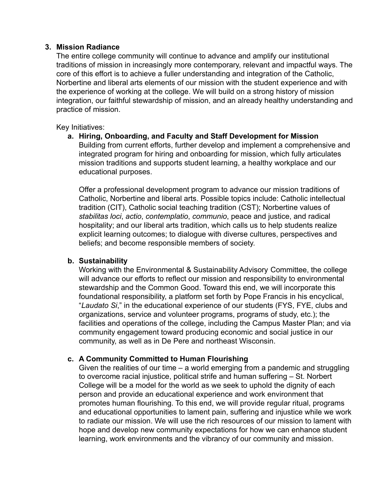#### **3. Mission Radiance**

The entire college community will continue to advance and amplify our institutional traditions of mission in increasingly more contemporary, relevant and impactful ways. The core of this effort is to achieve a fuller understanding and integration of the Catholic, Norbertine and liberal arts elements of our mission with the student experience and with the experience of working at the college. We will build on a strong history of mission integration, our faithful stewardship of mission, and an already healthy understanding and practice of mission.

Key Initiatives:

**a. Hiring, Onboarding, and Faculty and Staff Development for Mission** Building from current efforts, further develop and implement a comprehensive and integrated program for hiring and onboarding for mission, which fully articulates mission traditions and supports student learning, a healthy workplace and our educational purposes.

Offer a professional development program to advance our mission traditions of Catholic, Norbertine and liberal arts. Possible topics include: Catholic intellectual tradition (CIT), Catholic social teaching tradition (CST); Norbertine values of *stabilitas loci*, *actio*, *contemplatio*, *communio*, peace and justice, and radical hospitality; and our liberal arts tradition, which calls us to help students realize explicit learning outcomes; to dialogue with diverse cultures, perspectives and beliefs; and become responsible members of society.

### **b. Sustainability**

Working with the Environmental & Sustainability Advisory Committee, the college will advance our efforts to reflect our mission and responsibility to environmental stewardship and the Common Good. Toward this end, we will incorporate this foundational responsibility, a platform set forth by Pope Francis in his encyclical, "*Laudato Si*," in the educational experience of our students (FYS, FYE, clubs and organizations, service and volunteer programs, programs of study, etc.); the facilities and operations of the college, including the Campus Master Plan; and via community engagement toward producing economic and social justice in our community, as well as in De Pere and northeast Wisconsin.

### **c. A Community Committed to Human Flourishing**

Given the realities of our time – a world emerging from a pandemic and struggling to overcome racial injustice, political strife and human suffering – St. Norbert College will be a model for the world as we seek to uphold the dignity of each person and provide an educational experience and work environment that promotes human flourishing. To this end, we will provide regular ritual, programs and educational opportunities to lament pain, suffering and injustice while we work to radiate our mission. We will use the rich resources of our mission to lament with hope and develop new community expectations for how we can enhance student learning, work environments and the vibrancy of our community and mission.